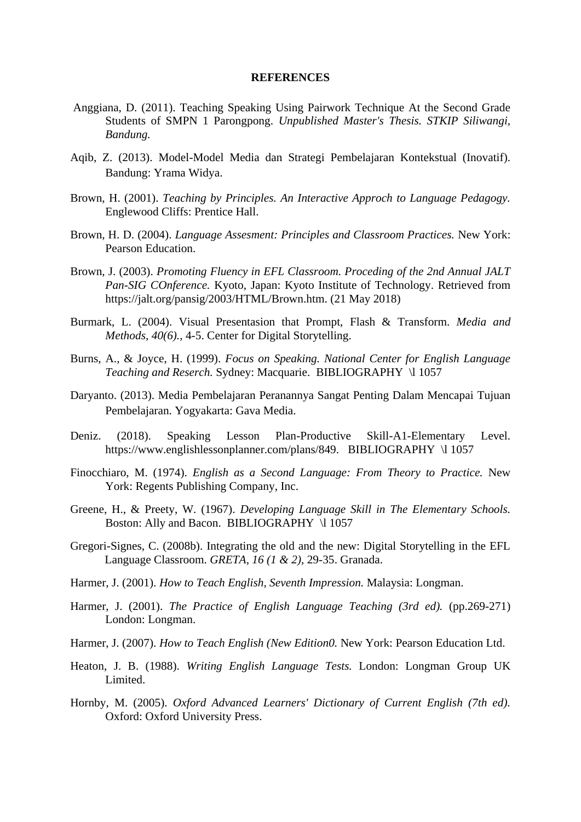## **REFERENCES**

- Anggiana, D. (2011). Teaching Speaking Using Pairwork Technique At the Second Grade Students of SMPN 1 Parongpong. *Unpublished Master's Thesis. STKIP Siliwangi, Bandung.*
- Aqib, Z. (2013). Model-Model Media dan Strategi Pembelajaran Kontekstual (Inovatif). Bandung: Yrama Widya.
- Brown, H. (2001). *Teaching by Principles. An Interactive Approch to Language Pedagogy.* Englewood Cliffs: Prentice Hall.
- Brown, H. D. (2004). *Language Assesment: Principles and Classroom Practices.* New York: Pearson Education.
- Brown, J. (2003). *Promoting Fluency in EFL Classroom. Proceding of the 2nd Annual JALT Pan-SIG COnference.* Kyoto, Japan: Kyoto Institute of Technology. Retrieved from https://jalt.org/pansig/2003/HTML/Brown.htm. (21 May 2018)
- Burmark, L. (2004). Visual Presentasion that Prompt, Flash & Transform. *Media and Methods, 40(6).*, 4-5. Center for Digital Storytelling.
- Burns, A., & Joyce, H. (1999). *Focus on Speaking. National Center for English Language Teaching and Reserch.* Sydney: Macquarie. BIBLIOGRAPHY \l 1057
- Daryanto. (2013). Media Pembelajaran Peranannya Sangat Penting Dalam Mencapai Tujuan Pembelajaran. Yogyakarta: Gava Media.
- Deniz. (2018). Speaking Lesson Plan-Productive Skill-A1-Elementary Level. https://www.englishlessonplanner.com/plans/849. BIBLIOGRAPHY \l 1057
- Finocchiaro, M. (1974). *English as a Second Language: From Theory to Practice.* New York: Regents Publishing Company, Inc.
- Greene, H., & Preety, W. (1967). *Developing Language Skill in The Elementary Schools.* Boston: Ally and Bacon. BIBLIOGRAPHY \l 1057
- Gregori-Signes, C. (2008b). Integrating the old and the new: Digital Storytelling in the EFL Language Classroom. *GRETA, 16 (1 & 2)*, 29-35. Granada.
- Harmer, J. (2001). *How to Teach English, Seventh Impression.* Malaysia: Longman.
- Harmer, J. (2001). *The Practice of English Language Teaching (3rd ed).* (pp.269-271) London: Longman.
- Harmer, J. (2007). *How to Teach English (New Edition0.* New York: Pearson Education Ltd.
- Heaton, J. B. (1988). *Writing English Language Tests.* London: Longman Group UK Limited.
- Hornby, M. (2005). *Oxford Advanced Learners' Dictionary of Current English (7th ed).* Oxford: Oxford University Press.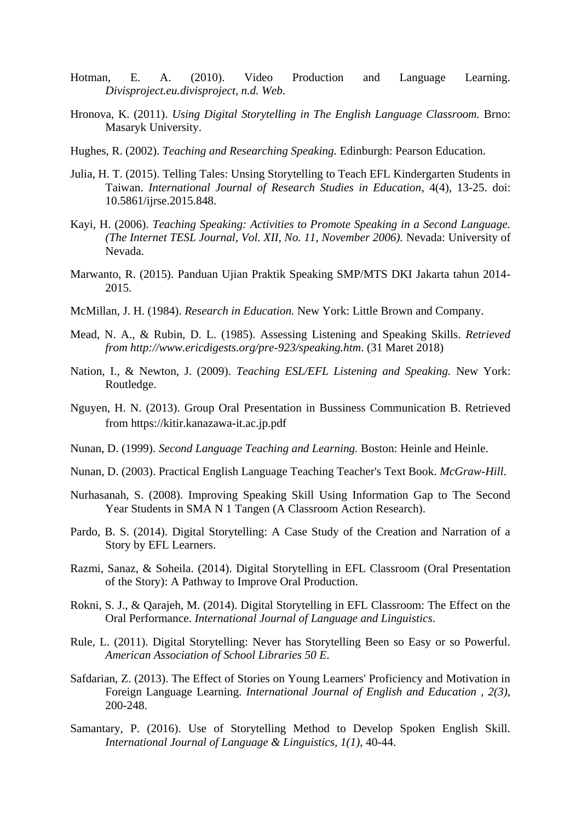- Hotman, E. A. (2010). Video Production and Language Learning. *Divisproject.eu.divisproject, n.d. Web*.
- Hronova, K. (2011). *Using Digital Storytelling in The English Language Classroom.* Brno: Masaryk University.
- Hughes, R. (2002). *Teaching and Researching Speaking.* Edinburgh: Pearson Education.
- Julia, H. T. (2015). Telling Tales: Unsing Storytelling to Teach EFL Kindergarten Students in Taiwan. *International Journal of Research Studies in Education*, 4(4), 13-25. doi: 10.5861/ijrse.2015.848.
- Kayi, H. (2006). *Teaching Speaking: Activities to Promote Speaking in a Second Language. (The Internet TESL Journal, Vol. XII, No. 11, November 2006).* Nevada: University of Nevada.
- Marwanto, R. (2015). Panduan Ujian Praktik Speaking SMP/MTS DKI Jakarta tahun 2014- 2015.
- McMillan, J. H. (1984). *Research in Education.* New York: Little Brown and Company.
- Mead, N. A., & Rubin, D. L. (1985). Assessing Listening and Speaking Skills. *Retrieved from http://www.ericdigests.org/pre-923/speaking.htm*. (31 Maret 2018)
- Nation, I., & Newton, J. (2009). *Teaching ESL/EFL Listening and Speaking.* New York: Routledge.
- Nguyen, H. N. (2013). Group Oral Presentation in Bussiness Communication B. Retrieved from https://kitir.kanazawa-it.ac.jp.pdf
- Nunan, D. (1999). *Second Language Teaching and Learning.* Boston: Heinle and Heinle.
- Nunan, D. (2003). Practical English Language Teaching Teacher's Text Book. *McGraw-Hill*.
- Nurhasanah, S. (2008). Improving Speaking Skill Using Information Gap to The Second Year Students in SMA N 1 Tangen (A Classroom Action Research).
- Pardo, B. S. (2014). Digital Storytelling: A Case Study of the Creation and Narration of a Story by EFL Learners.
- Razmi, Sanaz, & Soheila. (2014). Digital Storytelling in EFL Classroom (Oral Presentation of the Story): A Pathway to Improve Oral Production.
- Rokni, S. J., & Qarajeh, M. (2014). Digital Storytelling in EFL Classroom: The Effect on the Oral Performance. *International Journal of Language and Linguistics*.
- Rule, L. (2011). Digital Storytelling: Never has Storytelling Been so Easy or so Powerful. *American Association of School Libraries 50 E*.
- Safdarian, Z. (2013). The Effect of Stories on Young Learners' Proficiency and Motivation in Foreign Language Learning. *International Journal of English and Education , 2(3)*, 200-248.
- Samantary, P. (2016). Use of Storytelling Method to Develop Spoken English Skill. *International Journal of Language & Linguistics, 1(1)*, 40-44.